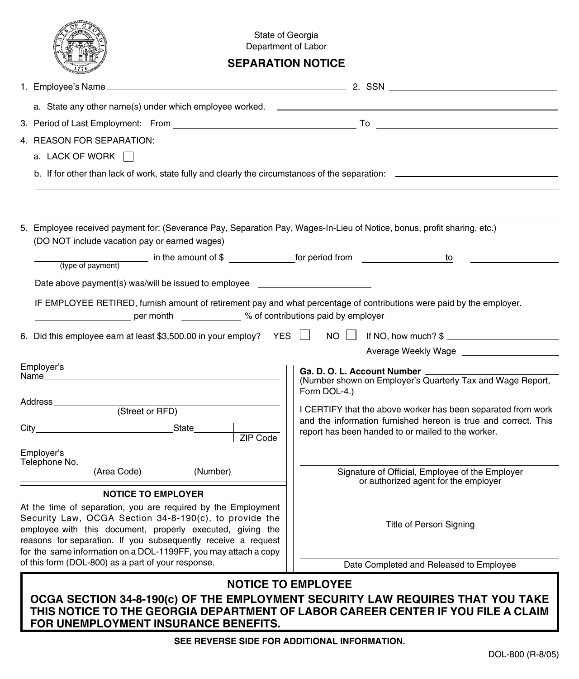|                                                                                                                                                                                                                                                                                                                                                                                                              | State of Georgia<br>Department of Labor<br><b>SEPARATION NOTICE</b> |                                                                                                                                                                                      |                                       |  |                                                                                         |
|--------------------------------------------------------------------------------------------------------------------------------------------------------------------------------------------------------------------------------------------------------------------------------------------------------------------------------------------------------------------------------------------------------------|---------------------------------------------------------------------|--------------------------------------------------------------------------------------------------------------------------------------------------------------------------------------|---------------------------------------|--|-----------------------------------------------------------------------------------------|
|                                                                                                                                                                                                                                                                                                                                                                                                              |                                                                     |                                                                                                                                                                                      |                                       |  |                                                                                         |
| a. State any other name(s) under which employee worked. ___________                                                                                                                                                                                                                                                                                                                                          |                                                                     |                                                                                                                                                                                      |                                       |  |                                                                                         |
|                                                                                                                                                                                                                                                                                                                                                                                                              |                                                                     |                                                                                                                                                                                      |                                       |  |                                                                                         |
| 4. REASON FOR SEPARATION:                                                                                                                                                                                                                                                                                                                                                                                    |                                                                     |                                                                                                                                                                                      |                                       |  |                                                                                         |
| a. LACK OF WORK                                                                                                                                                                                                                                                                                                                                                                                              |                                                                     |                                                                                                                                                                                      |                                       |  |                                                                                         |
|                                                                                                                                                                                                                                                                                                                                                                                                              |                                                                     |                                                                                                                                                                                      |                                       |  |                                                                                         |
|                                                                                                                                                                                                                                                                                                                                                                                                              |                                                                     |                                                                                                                                                                                      |                                       |  |                                                                                         |
| 5. Employee received payment for: (Severance Pay, Separation Pay, Wages-In-Lieu of Notice, bonus, profit sharing, etc.)<br>(DO NOT include vacation pay or earned wages)                                                                                                                                                                                                                                     |                                                                     |                                                                                                                                                                                      |                                       |  |                                                                                         |
| to<br>(type of payment)                                                                                                                                                                                                                                                                                                                                                                                      |                                                                     |                                                                                                                                                                                      |                                       |  |                                                                                         |
| Date above payment(s) was/will be issued to employee                                                                                                                                                                                                                                                                                                                                                         |                                                                     |                                                                                                                                                                                      |                                       |  |                                                                                         |
| IF EMPLOYEE RETIRED, furnish amount of retirement pay and what percentage of contributions were paid by the employer.<br>6. Did this employee earn at least \$3,500.00 in your employ? YES $\Box$ NO $\Box$ If NO, how much? \$                                                                                                                                                                              |                                                                     |                                                                                                                                                                                      |                                       |  |                                                                                         |
|                                                                                                                                                                                                                                                                                                                                                                                                              |                                                                     |                                                                                                                                                                                      |                                       |  |                                                                                         |
| Employer's                                                                                                                                                                                                                                                                                                                                                                                                   |                                                                     |                                                                                                                                                                                      |                                       |  |                                                                                         |
| (Street or RFD)<br>$ZIP$ Code                                                                                                                                                                                                                                                                                                                                                                                |                                                                     | Ga. D. O. L. Account Number<br>(Number shown on Employer's Quarterly Tax and Wage Report,<br>Form DOL-4.)                                                                            |                                       |  |                                                                                         |
|                                                                                                                                                                                                                                                                                                                                                                                                              |                                                                     | I CERTIFY that the above worker has been separated from work<br>and the information furnished hereon is true and correct. This<br>report has been handed to or mailed to the worker. |                                       |  |                                                                                         |
|                                                                                                                                                                                                                                                                                                                                                                                                              |                                                                     |                                                                                                                                                                                      | Employer's                            |  |                                                                                         |
|                                                                                                                                                                                                                                                                                                                                                                                                              |                                                                     |                                                                                                                                                                                      | Telephone No. (Area Code)<br>(Number) |  | Signature of Official, Employee of the Employer<br>or authorized agent for the employer |
| <b>NOTICE TO EMPLOYER</b><br>At the time of separation, you are required by the Employment<br>Security Law, OCGA Section 34-8-190(c), to provide the<br>employee with this document, properly executed, giving the<br>reasons for separation. If you subsequently receive a request<br>for the same information on a DOL-1199FF, you may attach a copy<br>of this form (DOL-800) as a part of your response. |                                                                     |                                                                                                                                                                                      |                                       |  |                                                                                         |
|                                                                                                                                                                                                                                                                                                                                                                                                              |                                                                     |                                                                                                                                                                                      | <b>Title of Person Signing</b>        |  |                                                                                         |
|                                                                                                                                                                                                                                                                                                                                                                                                              |                                                                     |                                                                                                                                                                                      |                                       |  |                                                                                         |
|                                                                                                                                                                                                                                                                                                                                                                                                              |                                                                     | Date Completed and Released to Employee                                                                                                                                              |                                       |  |                                                                                         |
|                                                                                                                                                                                                                                                                                                                                                                                                              |                                                                     |                                                                                                                                                                                      |                                       |  |                                                                                         |
| <b>NOTICE TO EMPLOYEE</b><br>OCGA SECTION 34-8-190(c) OF THE EMPLOYMENT SECURITY LAW REQUIRES THAT YOU TAKE<br>THIS NOTICE TO THE GEORGIA DEPARTMENT OF LABOR CAREER CENTER IF YOU FILE A CLAIM<br>FOR UNEMPLOYMENT INSURANCE BENEFITS.                                                                                                                                                                      |                                                                     |                                                                                                                                                                                      |                                       |  |                                                                                         |

**SEE REVERSE SIDE FOR ADDITIONAL INFORMATION.**